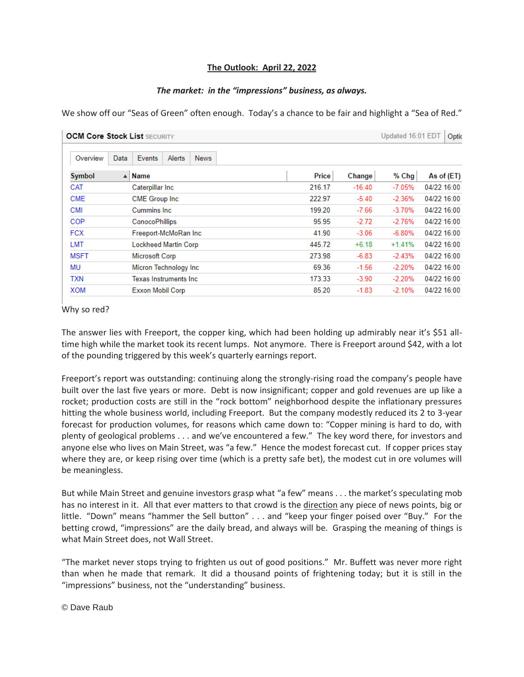## **The Outlook: April 22, 2022**

## *The market: in the "impressions" business, as always.*

We show off our "Seas of Green" often enough. Today's a chance to be fair and highlight a "Sea of Red."

| <b>OCM Core Stock List SECURITY</b> |                                 |        | Updated 16:01 EDT<br>Optic |          |             |
|-------------------------------------|---------------------------------|--------|----------------------------|----------|-------------|
| Overview<br>Data                    | Events<br>Alerts<br><b>News</b> |        |                            |          |             |
| <b>Symbol</b>                       | Name<br>$\blacktriangle$        | Price  | Change                     | % Chg    | As of (ET)  |
| CAT                                 | Caterpillar Inc                 | 216.17 | $-16.40$                   | $-7.05%$ | 04/22 16:00 |
| <b>CME</b>                          | <b>CME Group Inc.</b>           | 222.97 | $-5.40$                    | $-2.36%$ | 04/22 16:00 |
| <b>CMI</b>                          | <b>Cummins Inc.</b>             | 199.20 | $-7.66$                    | $-3.70%$ | 04/22 16:00 |
| COP                                 | <b>ConocoPhillips</b>           | 95.95  | $-2.72$                    | $-2.76%$ | 04/22 16:00 |
| <b>FCX</b>                          | Freeport-McMoRan Inc            | 41.90  | $-3.06$                    | $-6.80%$ | 04/22 16:00 |
| <b>LMT</b>                          | <b>Lockheed Martin Corp</b>     | 445.72 | $+6.18$                    | $+1.41%$ | 04/22 16:00 |
| <b>MSFT</b>                         | Microsoft Corp                  | 273.98 | $-6.83$                    | $-2.43%$ | 04/22 16:00 |
| MU                                  | Micron Technology Inc           | 69.36  | $-1.56$                    | $-2.20%$ | 04/22 16:00 |
| TXN                                 | <b>Texas Instruments Inc.</b>   | 173.33 | $-3.90$                    | $-2.20%$ | 04/22 16:00 |
| XOM                                 | <b>Exxon Mobil Corp</b>         | 85.20  | $-1.83$                    | $-2.10%$ | 04/22 16:00 |

## Why so red?

The answer lies with Freeport, the copper king, which had been holding up admirably near it's \$51 alltime high while the market took its recent lumps. Not anymore. There is Freeport around \$42, with a lot of the pounding triggered by this week's quarterly earnings report.

Freeport's report was outstanding: continuing along the strongly-rising road the company's people have built over the last five years or more. Debt is now insignificant; copper and gold revenues are up like a rocket; production costs are still in the "rock bottom" neighborhood despite the inflationary pressures hitting the whole business world, including Freeport. But the company modestly reduced its 2 to 3-year forecast for production volumes, for reasons which came down to: "Copper mining is hard to do, with plenty of geological problems . . . and we've encountered a few." The key word there, for investors and anyone else who lives on Main Street, was "a few." Hence the modest forecast cut. If copper prices stay where they are, or keep rising over time (which is a pretty safe bet), the modest cut in ore volumes will be meaningless.

But while Main Street and genuine investors grasp what "a few" means . . . the market's speculating mob has no interest in it. All that ever matters to that crowd is the direction any piece of news points, big or little. "Down" means "hammer the Sell button" . . . and "keep your finger poised over "Buy." For the betting crowd, "impressions" are the daily bread, and always will be. Grasping the meaning of things is what Main Street does, not Wall Street.

"The market never stops trying to frighten us out of good positions." Mr. Buffett was never more right than when he made that remark. It did a thousand points of frightening today; but it is still in the "impressions" business, not the "understanding" business.

## © Dave Raub